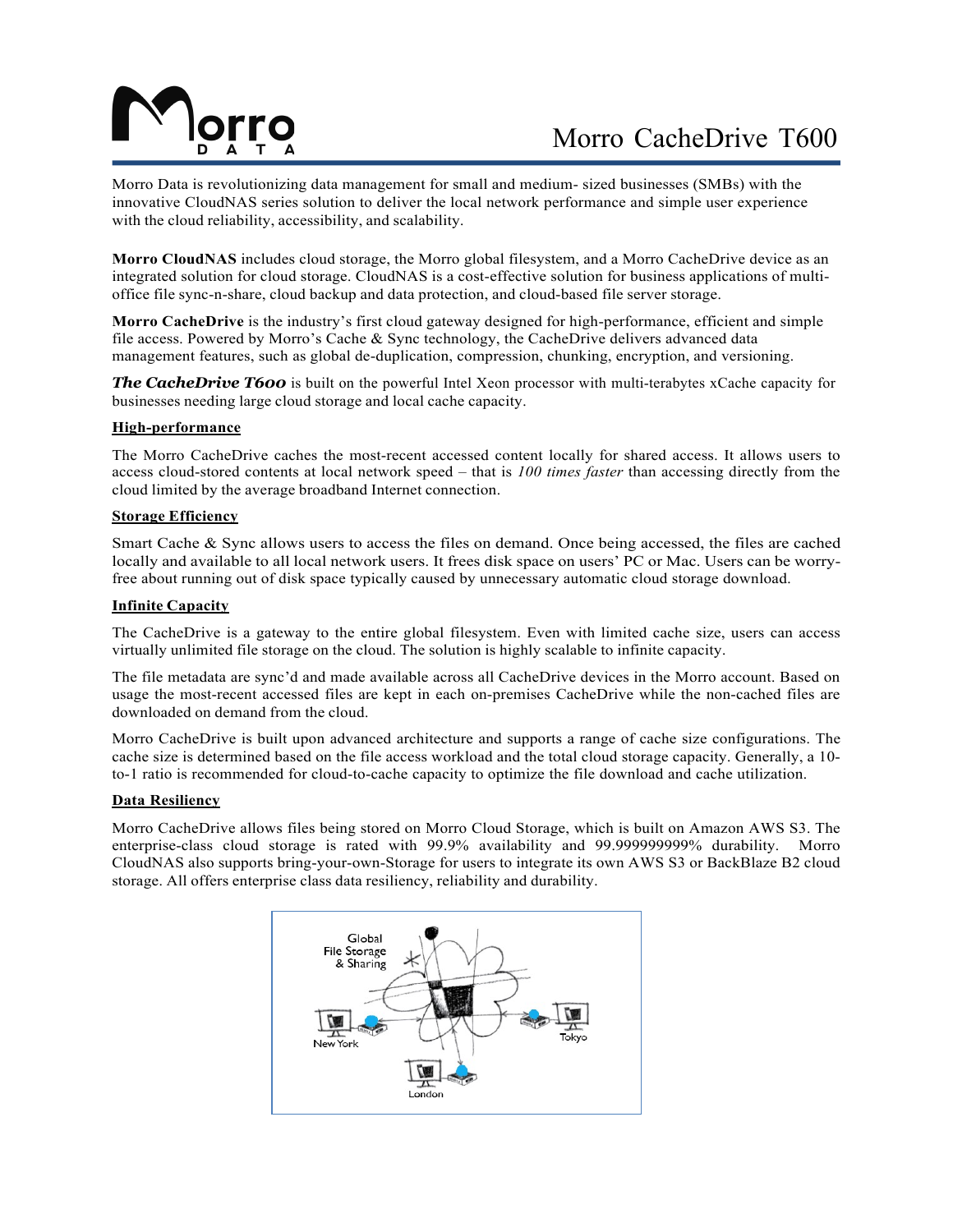# Morro CacheDrive T600

Morro Data is revolutionizing data management for small and medium- sized businesses (SMBs) with the innovative CloudNAS series solution to deliver the local network performance and simple user experience with the cloud reliability, accessibility, and scalability.

**Morro CloudNAS** includes cloud storage, the Morro global filesystem, and a Morro CacheDrive device as an integrated solution for cloud storage. CloudNAS is a cost-effective solution for business applications of multioffice file sync-n-share, cloud backup and data protection, and cloud-based file server storage.

**Morro CacheDrive** is the industry's first cloud gateway designed for high-performance, efficient and simple file access. Powered by Morro's Cache & Sync technology, the CacheDrive delivers advanced data management features, such as global de-duplication, compression, chunking, encryption, and versioning.

*The CacheDrive T600* is built on the powerful Intel Xeon processor with multi-terabytes xCache capacity for businesses needing large cloud storage and local cache capacity.

# **High-performance**

The Morro CacheDrive caches the most-recent accessed content locally for shared access. It allows users to access cloud-stored contents at local network speed – that is *100 times faster* than accessing directly from the cloud limited by the average broadband Internet connection.

### **Storage Efficiency**

Smart Cache & Sync allows users to access the files on demand. Once being accessed, the files are cached locally and available to all local network users. It frees disk space on users' PC or Mac. Users can be worryfree about running out of disk space typically caused by unnecessary automatic cloud storage download.

# **Infinite Capacity**

The CacheDrive is a gateway to the entire global filesystem. Even with limited cache size, users can access virtually unlimited file storage on the cloud. The solution is highly scalable to infinite capacity.

The file metadata are sync'd and made available across all CacheDrive devices in the Morro account. Based on usage the most-recent accessed files are kept in each on-premises CacheDrive while the non-cached files are downloaded on demand from the cloud.

Morro CacheDrive is built upon advanced architecture and supports a range of cache size configurations. The cache size is determined based on the file access workload and the total cloud storage capacity. Generally, a 10 to-1 ratio is recommended for cloud-to-cache capacity to optimize the file download and cache utilization.

### **Data Resiliency**

Morro CacheDrive allows files being stored on Morro Cloud Storage, which is built on Amazon AWS S3. The enterprise-class cloud storage is rated with 99.9% availability and 99.999999999% durability. Morro CloudNAS also supports bring-your-own-Storage for users to integrate its own AWS S3 or BackBlaze B2 cloud storage. All offers enterprise class data resiliency, reliability and durability.